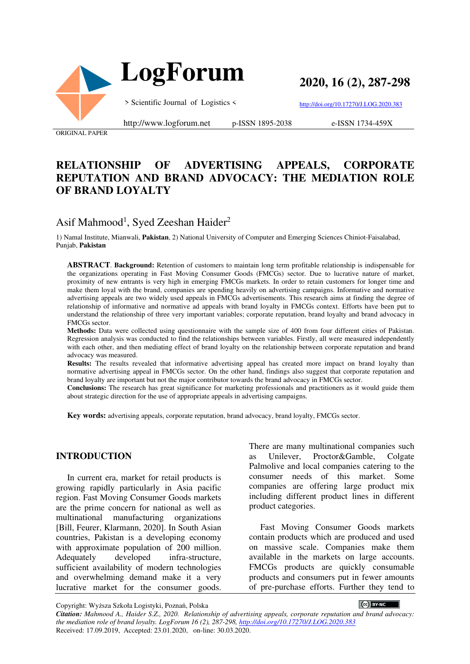

 **LogForum**

**2020, 16 (2), 287-298**

> Scientific Journal of Logistics <

http://doi.org/10.17270/J.LOG.2020.383

ORIGINAL PAPER

http://www.logforum.net p-ISSN 1895-2038

e-ISSN 1734-459X

## **RELATIONSHIP OF ADVERTISING APPEALS, CORPORATE REPUTATION AND BRAND ADVOCACY: THE MEDIATION ROLE OF BRAND LOYALTY**

# Asif Mahmood<sup>1</sup>, Syed Zeeshan Haider<sup>2</sup>

1) Namal Institute, Mianwali, **Pakistan**, 2) National University of Computer and Emerging Sciences Chiniot-Faisalabad, Punjab, **Pakistan**

**ABSTRACT**. **Background:** Retention of customers to maintain long term profitable relationship is indispensable for the organizations operating in Fast Moving Consumer Goods (FMCGs) sector. Due to lucrative nature of market, proximity of new entrants is very high in emerging FMCGs markets. In order to retain customers for longer time and make them loyal with the brand, companies are spending heavily on advertising campaigns. Informative and normative advertising appeals are two widely used appeals in FMCGs advertisements. This research aims at finding the degree of relationship of informative and normative ad appeals with brand loyalty in FMCGs context. Efforts have been put to understand the relationship of three very important variables; corporate reputation, brand loyalty and brand advocacy in FMCGs sector.

**Methods:** Data were collected using questionnaire with the sample size of 400 from four different cities of Pakistan. Regression analysis was conducted to find the relationships between variables. Firstly, all were measured independently with each other, and then mediating effect of brand loyalty on the relationship between corporate reputation and brand advocacy was measured.

**Results:** The results revealed that informative advertising appeal has created more impact on brand loyalty than normative advertising appeal in FMCGs sector. On the other hand, findings also suggest that corporate reputation and brand loyalty are important but not the major contributor towards the brand advocacy in FMCGs sector.

**Conclusions:** The research has great significance for marketing professionals and practitioners as it would guide them about strategic direction for the use of appropriate appeals in advertising campaigns.

**Key words:** advertising appeals, corporate reputation, brand advocacy, brand loyalty, FMCGs sector.

### **INTRODUCTION**

In current era, market for retail products is growing rapidly particularly in Asia pacific region. Fast Moving Consumer Goods markets are the prime concern for national as well as multinational manufacturing organizations [Bill, Feurer, Klarmann, 2020]. In South Asian countries, Pakistan is a developing economy with approximate population of 200 million. Adequately developed infra-structure, sufficient availability of modern technologies and overwhelming demand make it a very lucrative market for the consumer goods.

There are many multinational companies such as Unilever, Proctor&Gamble, Colgate Palmolive and local companies catering to the consumer needs of this market. Some companies are offering large product mix including different product lines in different product categories.

Fast Moving Consumer Goods markets contain products which are produced and used on massive scale. Companies make them available in the markets on large accounts. FMCGs products are quickly consumable products and consumers put in fewer amounts of pre-purchase efforts. Further they tend to

Copyright: Wyższa Szkoła Logistyki, Poznań, Polska

CC BY-NC

*Citation: Mahmood A., Haider S.Z., 2020. Relationship of advertising appeals, corporate reputation and brand advocacy: the mediation role of brand loyalty. LogForum 16 (2), 287-298, http://doi.org/10.17270/J.LOG.2020.383*  Received: 17.09.2019, Accepted: 23.01.2020, on-line: 30.03.2020.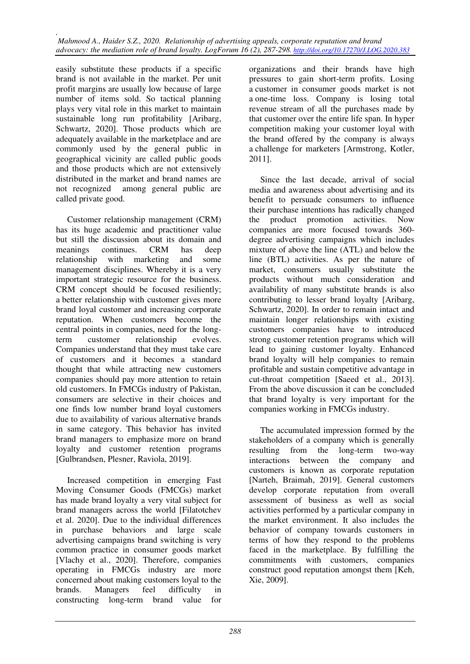easily substitute these products if a specific brand is not available in the market. Per unit profit margins are usually low because of large number of items sold. So tactical planning plays very vital role in this market to maintain sustainable long run profitability [Aribarg, Schwartz, 2020]. Those products which are adequately available in the marketplace and are commonly used by the general public in geographical vicinity are called public goods and those products which are not extensively distributed in the market and brand names are not recognized among general public are called private good.

Customer relationship management (CRM) has its huge academic and practitioner value but still the discussion about its domain and meanings continues. CRM has deep relationship with marketing and some management disciplines. Whereby it is a very important strategic resource for the business. CRM concept should be focused resiliently; a better relationship with customer gives more brand loyal customer and increasing corporate reputation. When customers become the central points in companies, need for the longterm customer relationship evolves. Companies understand that they must take care of customers and it becomes a standard thought that while attracting new customers companies should pay more attention to retain old customers. In FMCGs industry of Pakistan, consumers are selective in their choices and one finds low number brand loyal customers due to availability of various alternative brands in same category. This behavior has invited brand managers to emphasize more on brand loyalty and customer retention programs [Gulbrandsen, Plesner, Raviola, 2019].

Increased competition in emerging Fast Moving Consumer Goods (FMCGs) market has made brand loyalty a very vital subject for brand managers across the world [Filatotchev et al. 2020]. Due to the individual differences in purchase behaviors and large scale advertising campaigns brand switching is very common practice in consumer goods market [Vlachy et al., 2020]. Therefore, companies operating in FMCGs industry are more concerned about making customers loyal to the brands. Managers feel difficulty in constructing long-term brand value for

organizations and their brands have high pressures to gain short-term profits. Losing a customer in consumer goods market is not a one-time loss. Company is losing total revenue stream of all the purchases made by that customer over the entire life span. In hyper competition making your customer loyal with the brand offered by the company is always a challenge for marketers [Armstrong, Kotler, 2011].

Since the last decade, arrival of social media and awareness about advertising and its benefit to persuade consumers to influence their purchase intentions has radically changed the product promotion activities. Now companies are more focused towards 360 degree advertising campaigns which includes mixture of above the line (ATL) and below the line (BTL) activities. As per the nature of market, consumers usually substitute the products without much consideration and availability of many substitute brands is also contributing to lesser brand loyalty [Aribarg, Schwartz, 2020]. In order to remain intact and maintain longer relationships with existing customers companies have to introduced strong customer retention programs which will lead to gaining customer loyalty. Enhanced brand loyalty will help companies to remain profitable and sustain competitive advantage in cut-throat competition [Saeed et al., 2013]. From the above discussion it can be concluded that brand loyalty is very important for the companies working in FMCGs industry.

The accumulated impression formed by the stakeholders of a company which is generally resulting from the long-term two-way interactions between the company and customers is known as corporate reputation [Narteh, Braimah, 2019]. General customers develop corporate reputation from overall assessment of business as well as social activities performed by a particular company in the market environment. It also includes the behavior of company towards customers in terms of how they respond to the problems faced in the marketplace. By fulfilling the commitments with customers, companies construct good reputation amongst them [Keh, Xie, 2009].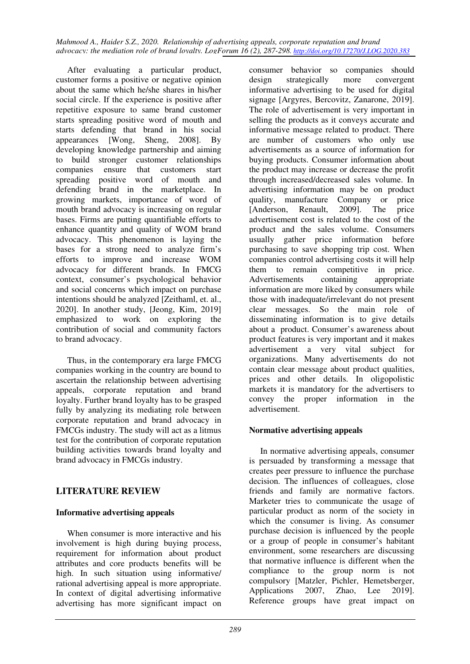After evaluating a particular product, customer forms a positive or negative opinion about the same which he/she shares in his/her social circle. If the experience is positive after repetitive exposure to same brand customer starts spreading positive word of mouth and starts defending that brand in his social appearances [Wong, Sheng, 2008]. By developing knowledge partnership and aiming to build stronger customer relationships companies ensure that customers start spreading positive word of mouth and defending brand in the marketplace. In growing markets, importance of word of mouth brand advocacy is increasing on regular bases. Firms are putting quantifiable efforts to enhance quantity and quality of WOM brand advocacy. This phenomenon is laying the bases for a strong need to analyze firm's efforts to improve and increase WOM advocacy for different brands. In FMCG context, consumer's psychological behavior and social concerns which impact on purchase intentions should be analyzed [Zeithaml, et. al., 2020]. In another study, [Jeong, Kim, 2019] emphasized to work on exploring the contribution of social and community factors to brand advocacy.

Thus, in the contemporary era large FMCG companies working in the country are bound to ascertain the relationship between advertising appeals, corporate reputation and brand loyalty. Further brand loyalty has to be grasped fully by analyzing its mediating role between corporate reputation and brand advocacy in FMCGs industry. The study will act as a litmus test for the contribution of corporate reputation building activities towards brand loyalty and brand advocacy in FMCGs industry.

# **LITERATURE REVIEW**

## **Informative advertising appeals**

When consumer is more interactive and his involvement is high during buying process, requirement for information about product attributes and core products benefits will be high. In such situation using informative/ rational advertising appeal is more appropriate. In context of digital advertising informative advertising has more significant impact on

consumer behavior so companies should design strategically more convergent informative advertising to be used for digital signage [Argyres, Bercovitz, Zanarone, 2019]. The role of advertisement is very important in selling the products as it conveys accurate and informative message related to product. There are number of customers who only use advertisements as a source of information for buying products. Consumer information about the product may increase or decrease the profit through increased/decreased sales volume. In advertising information may be on product quality, manufacture Company or price [Anderson, Renault, 2009]. The price advertisement cost is related to the cost of the product and the sales volume. Consumers usually gather price information before purchasing to save shopping trip cost. When companies control advertising costs it will help them to remain competitive in price. Advertisements containing appropriate information are more liked by consumers while those with inadequate/irrelevant do not present clear messages. So the main role of disseminating information is to give details about a product. Consumer's awareness about product features is very important and it makes advertisement a very vital subject for organizations. Many advertisements do not contain clear message about product qualities, prices and other details. In oligopolistic markets it is mandatory for the advertisers to convey the proper information in the advertisement.

## **Normative advertising appeals**

In normative advertising appeals, consumer is persuaded by transforming a message that creates peer pressure to influence the purchase decision. The influences of colleagues, close friends and family are normative factors. Marketer tries to communicate the usage of particular product as norm of the society in which the consumer is living. As consumer purchase decision is influenced by the people or a group of people in consumer's habitant environment, some researchers are discussing that normative influence is different when the compliance to the group norm is not compulsory [Matzler, Pichler, Hemetsberger, Applications 2007, Zhao, Lee 2019]. Reference groups have great impact on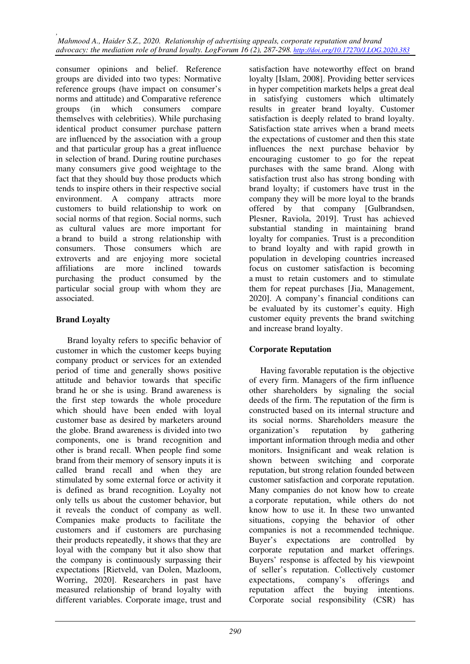consumer opinions and belief. Reference groups are divided into two types: Normative reference groups (have impact on consumer's norms and attitude) and Comparative reference groups (in which consumers compare themselves with celebrities). While purchasing identical product consumer purchase pattern are influenced by the association with a group and that particular group has a great influence in selection of brand. During routine purchases many consumers give good weightage to the fact that they should buy those products which tends to inspire others in their respective social environment. A company attracts more customers to build relationship to work on social norms of that region. Social norms, such as cultural values are more important for a brand to build a strong relationship with consumers. Those consumers which are extroverts and are enjoying more societal affiliations are more inclined towards purchasing the product consumed by the particular social group with whom they are associated.

## **Brand Loyalty**

Brand loyalty refers to specific behavior of customer in which the customer keeps buying company product or services for an extended period of time and generally shows positive attitude and behavior towards that specific brand he or she is using. Brand awareness is the first step towards the whole procedure which should have been ended with loyal customer base as desired by marketers around the globe. Brand awareness is divided into two components, one is brand recognition and other is brand recall. When people find some brand from their memory of sensory inputs it is called brand recall and when they are stimulated by some external force or activity it is defined as brand recognition. Loyalty not only tells us about the customer behavior, but it reveals the conduct of company as well. Companies make products to facilitate the customers and if customers are purchasing their products repeatedly, it shows that they are loyal with the company but it also show that the company is continuously surpassing their expectations [Rietveld, van Dolen, Mazloom, Worring, 2020]. Researchers in past have measured relationship of brand loyalty with different variables. Corporate image, trust and

satisfaction have noteworthy effect on brand loyalty [Islam, 2008]. Providing better services in hyper competition markets helps a great deal in satisfying customers which ultimately results in greater brand loyalty. Customer satisfaction is deeply related to brand loyalty. Satisfaction state arrives when a brand meets the expectations of customer and then this state influences the next purchase behavior by encouraging customer to go for the repeat purchases with the same brand. Along with satisfaction trust also has strong bonding with brand loyalty; if customers have trust in the company they will be more loyal to the brands offered by that company [Gulbrandsen, Plesner, Raviola, 2019]. Trust has achieved substantial standing in maintaining brand loyalty for companies. Trust is a precondition to brand loyalty and with rapid growth in population in developing countries increased focus on customer satisfaction is becoming a must to retain customers and to stimulate them for repeat purchases [Jia, Management, 2020]. A company's financial conditions can be evaluated by its customer's equity. High customer equity prevents the brand switching and increase brand loyalty.

# **Corporate Reputation**

Having favorable reputation is the objective of every firm. Managers of the firm influence other shareholders by signaling the social deeds of the firm. The reputation of the firm is constructed based on its internal structure and its social norms. Shareholders measure the organization's reputation by gathering organization's reputation by important information through media and other monitors. Insignificant and weak relation is shown between switching and corporate reputation, but strong relation founded between customer satisfaction and corporate reputation. Many companies do not know how to create a corporate reputation, while others do not know how to use it. In these two unwanted situations, copying the behavior of other companies is not a recommended technique. Buyer's expectations are controlled by corporate reputation and market offerings. Buyers' response is affected by his viewpoint of seller's reputation. Collectively customer expectations, company's offerings and reputation affect the buying intentions. Corporate social responsibility (CSR) has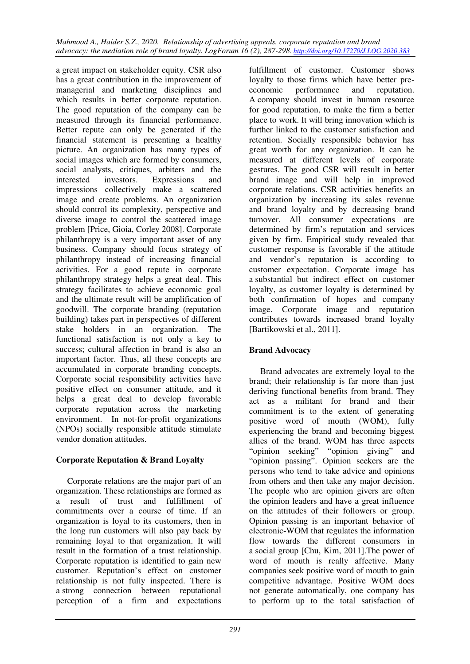a great impact on stakeholder equity. CSR also has a great contribution in the improvement of managerial and marketing disciplines and which results in better corporate reputation. The good reputation of the company can be measured through its financial performance. Better repute can only be generated if the financial statement is presenting a healthy picture. An organization has many types of social images which are formed by consumers, social analysts, critiques, arbiters and the interested investors. Expressions and impressions collectively make a scattered image and create problems. An organization should control its complexity, perspective and diverse image to control the scattered image problem [Price, Gioia, Corley 2008]. Corporate philanthropy is a very important asset of any business. Company should focus strategy of philanthropy instead of increasing financial activities. For a good repute in corporate philanthropy strategy helps a great deal. This strategy facilitates to achieve economic goal and the ultimate result will be amplification of goodwill. The corporate branding (reputation building) takes part in perspectives of different stake holders in an organization. The functional satisfaction is not only a key to success; cultural affection in brand is also an important factor. Thus, all these concepts are accumulated in corporate branding concepts. Corporate social responsibility activities have positive effect on consumer attitude, and it helps a great deal to develop favorable corporate reputation across the marketing environment. In not-for-profit organizations (NPOs) socially responsible attitude stimulate vendor donation attitudes.

## **Corporate Reputation & Brand Loyalty**

Corporate relations are the major part of an organization. These relationships are formed as a result of trust and fulfillment of commitments over a course of time. If an organization is loyal to its customers, then in the long run customers will also pay back by remaining loyal to that organization. It will result in the formation of a trust relationship. Corporate reputation is identified to gain new customer. Reputation's effect on customer relationship is not fully inspected. There is a strong connection between reputational perception of a firm and expectations

fulfillment of customer. Customer shows loyalty to those firms which have better preeconomic performance and reputation. A company should invest in human resource for good reputation, to make the firm a better place to work. It will bring innovation which is further linked to the customer satisfaction and retention. Socially responsible behavior has great worth for any organization. It can be measured at different levels of corporate gestures. The good CSR will result in better brand image and will help in improved corporate relations. CSR activities benefits an organization by increasing its sales revenue and brand loyalty and by decreasing brand turnover. All consumer expectations are determined by firm's reputation and services given by firm. Empirical study revealed that customer response is favorable if the attitude and vendor's reputation is according to customer expectation. Corporate image has a substantial but indirect effect on customer loyalty, as customer loyalty is determined by both confirmation of hopes and company image. Corporate image and reputation contributes towards increased brand loyalty [Bartikowski et al., 2011].

# **Brand Advocacy**

Brand advocates are extremely loyal to the brand; their relationship is far more than just deriving functional benefits from brand. They act as a militant for brand and their commitment is to the extent of generating positive word of mouth (WOM), fully experiencing the brand and becoming biggest allies of the brand. WOM has three aspects "opinion seeking" "opinion giving" and "opinion passing". Opinion seekers are the persons who tend to take advice and opinions from others and then take any major decision. The people who are opinion givers are often the opinion leaders and have a great influence on the attitudes of their followers or group. Opinion passing is an important behavior of electronic-WOM that regulates the information flow towards the different consumers in a social group [Chu, Kim, 2011].The power of word of mouth is really affective. Many companies seek positive word of mouth to gain competitive advantage. Positive WOM does not generate automatically, one company has to perform up to the total satisfaction of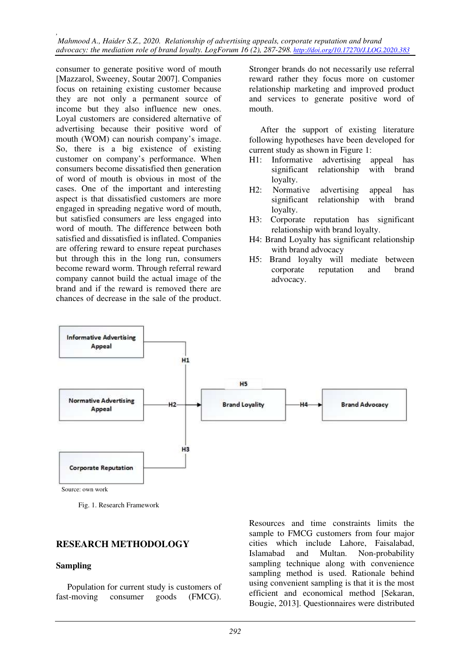*, Mahmood A., Haider S.Z., 2020. Relationship of advertising appeals, corporate reputation and brand advocacy: the mediation role of brand loyalty. LogForum 16 (2), 287-298. http://doi.org/10.17270/J.LOG.2020.383* 

consumer to generate positive word of mouth [Mazzarol, Sweeney, Soutar 2007]. Companies focus on retaining existing customer because they are not only a permanent source of income but they also influence new ones. Loyal customers are considered alternative of advertising because their positive word of mouth (WOM) can nourish company's image. So, there is a big existence of existing customer on company's performance. When consumers become dissatisfied then generation of word of mouth is obvious in most of the cases. One of the important and interesting aspect is that dissatisfied customers are more engaged in spreading negative word of mouth, but satisfied consumers are less engaged into word of mouth. The difference between both satisfied and dissatisfied is inflated. Companies are offering reward to ensure repeat purchases but through this in the long run, consumers become reward worm. Through referral reward company cannot build the actual image of the brand and if the reward is removed there are chances of decrease in the sale of the product.

Stronger brands do not necessarily use referral reward rather they focus more on customer relationship marketing and improved product and services to generate positive word of mouth.

After the support of existing literature following hypotheses have been developed for current study as shown in Figure 1:

- H1: Informative advertising appeal has significant relationship with brand loyalty.
- H2: Normative advertising appeal has significant relationship with brand loyalty.
- H3: Corporate reputation has significant relationship with brand loyalty.
- H4: Brand Loyalty has significant relationship with brand advocacy
- H5: Brand loyalty will mediate between corporate reputation and brand advocacy.



Fig. 1. Research Framework

### **RESEARCH METHODOLOGY**

#### **Sampling**

Population for current study is customers of fast-moving consumer goods (FMCG).

Resources and time constraints limits the sample to FMCG customers from four major cities which include Lahore, Faisalabad, Islamabad and Multan. Non-probability sampling technique along with convenience sampling method is used. Rationale behind using convenient sampling is that it is the most efficient and economical method [Sekaran, Bougie, 2013]. Questionnaires were distributed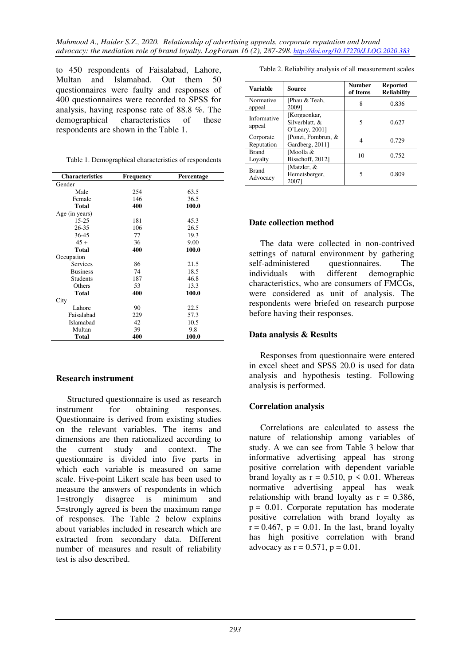to 450 respondents of Faisalabad, Lahore, Multan and Islamabad. Out them 50 questionnaires were faulty and responses of 400 questionnaires were recorded to SPSS for analysis, having response rate of 88.8 %. The demographical characteristics of these respondents are shown in the Table 1.

| Table 1. Demographical characteristics of respondents |  |
|-------------------------------------------------------|--|
|                                                       |  |

| <b>Characteristics</b> | Frequency | Percentage |
|------------------------|-----------|------------|
| Gender                 |           |            |
| Male                   | 254       | 63.5       |
| Female                 | 146       | 36.5       |
| <b>Total</b>           | 400       | 100.0      |
| Age (in years)         |           |            |
| $15 - 25$              | 181       | 45.3       |
| 26-35                  | 106       | 26.5       |
| 36-45                  | 77        | 19.3       |
| $45+$                  | 36        | 9.00       |
| <b>Total</b>           | 400       | 100.0      |
| Occupation             |           |            |
| Services               | 86        | 21.5       |
| <b>Business</b>        | 74        | 18.5       |
| <b>Students</b>        | 187       | 46.8       |
| Others                 | 53        | 13.3       |
| <b>Total</b>           | 400       | 100.0      |
| City                   |           |            |
| Lahore                 | 90        | 22.5       |
| Faisalabad             | 229       | 57.3       |
| Islamabad              | 42        | 10.5       |
| Multan                 | 39        | 9.8        |
| <b>Total</b>           | 400       | 100.0      |

### **Research instrument**

Structured questionnaire is used as research instrument for obtaining responses. Questionnaire is derived from existing studies on the relevant variables. The items and dimensions are then rationalized according to the current study and context. The questionnaire is divided into five parts in which each variable is measured on same scale. Five-point Likert scale has been used to measure the answers of respondents in which 1=strongly disagree is minimum and 5=strongly agreed is been the maximum range of responses. The Table 2 below explains about variables included in research which are extracted from secondary data. Different number of measures and result of reliability test is also described.

Table 2. Reliability analysis of all measurement scales

| Variable                 | Source                                           | <b>Number</b><br>of Items | <b>Reported</b><br><b>Reliability</b> |
|--------------------------|--------------------------------------------------|---------------------------|---------------------------------------|
| Normative<br>appeal      | [Phau & Teah,<br>20091                           | 8                         | 0.836                                 |
| Informative<br>appeal    | [Korgaonkar,<br>Silverblatt, &<br>O'Leary, 2001] | 5                         | 0.627                                 |
| Corporate<br>Reputation  | [Ponzi, Fombrun, &<br>Gardberg, 2011]            | 4                         | 0.729                                 |
| <b>Brand</b><br>Loyalty  | ⊺Moolla &<br>Bisschoff, 2012]                    | 10                        | 0.752                                 |
| <b>Brand</b><br>Advocacy | Matzler, &<br>Hemetsberger,<br>2007              | 5                         | 0.809                                 |

### **Date collection method**

The data were collected in non-contrived settings of natural environment by gathering self-administered questionnaires. The<br>individuals with different demographic demographic characteristics, who are consumers of FMCGs, were considered as unit of analysis. The respondents were briefed on research purpose before having their responses.

### **Data analysis & Results**

Responses from questionnaire were entered in excel sheet and SPSS 20.0 is used for data analysis and hypothesis testing. Following analysis is performed.

## **Correlation analysis**

Correlations are calculated to assess the nature of relationship among variables of study. A we can see from Table 3 below that informative advertising appeal has strong positive correlation with dependent variable brand loyalty as  $r = 0.510$ ,  $p \le 0.01$ . Whereas normative advertising appeal has weak relationship with brand loyalty as  $r = 0.386$ ,  $p = 0.01$ . Corporate reputation has moderate positive correlation with brand loyalty as  $\mathbf{r} = 0.467$ ,  $\mathbf{p} = 0.01$ . In the last, brand loyalty has high positive correlation with brand advocacy as  $r = 0.571$ ,  $p = 0.01$ .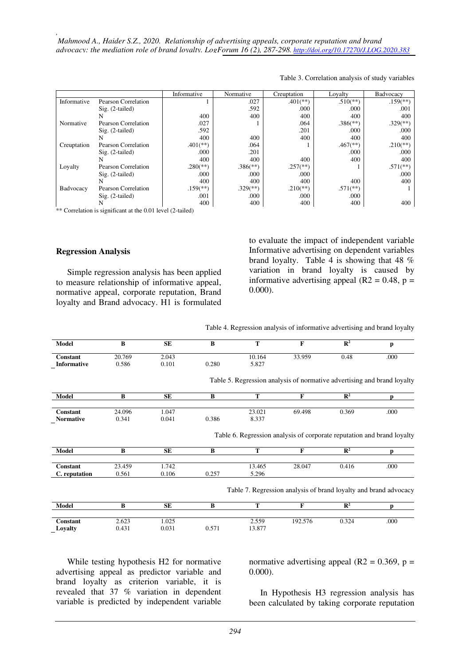|             |                            | Informative              | Normative                | Creuptation            | Loyalty                  | Badvocacy                |
|-------------|----------------------------|--------------------------|--------------------------|------------------------|--------------------------|--------------------------|
| Informative | Pearson Correlation        |                          | .027                     | $.401$ <sup>(**)</sup> | $.510(**)$               | $.159$ <sup>(**)</sup>   |
|             | $Sig. (2-tailed)$          |                          | .592                     | .000                   | .000                     | .001                     |
|             | N                          | 400                      | 400                      | 400                    | 400                      | 400                      |
| Normative   | Pearson Correlation        | .027                     |                          | .064                   | $.386$ <sup>(**)</sup> ) | $.329$ <sup>(**)</sup> ) |
|             | $Sig. (2-tailed)$          | .592                     |                          | .201                   | .000                     | .000                     |
|             | N                          | 400                      | 400                      | 400                    | 400                      | 400                      |
| Creuptation | <b>Pearson Correlation</b> | $.401$ <sup>(**)</sup> ) | .064                     |                        | $.467$ <sup>(**)</sup> ) | $.210(**)$               |
|             | $Sig. (2-tailed)$          | .000                     | .201                     |                        | .000                     | .000                     |
|             | N                          | 400                      | 400                      | 400                    | 400                      | 400                      |
| Loyalty     | Pearson Correlation        | $.280$ <sup>(**)</sup>   | $.386$ <sup>(**)</sup> ) | $.257$ <sup>(**)</sup> |                          | $.571$ <sup>(**)</sup> ) |
|             | $Sig. (2-tailed)$          | .000                     | .000                     | .000                   |                          | .000                     |
|             | N                          | 400                      | 400                      | 400                    | 400                      | 400                      |
| Badvocacy   | Pearson Correlation        | $.159$ <sup>(**)</sup>   | $.329$ <sup>(**)</sup> ) | $.210(**)$             | $.571$ <sup>(**)</sup>   |                          |
|             | $Sig. (2-tailed)$          | .001                     | .000                     | .000                   | .000                     |                          |
|             | N                          | 400                      | 400                      | 400                    | 400                      | 400                      |

Table 3. Correlation analysis of study variables

\*\* Correlation is significant at the 0.01 level (2-tailed)

#### **Regression Analysis**

*,* 

Simple regression analysis has been applied to measure relationship of informative appeal, normative appeal, corporate reputation, Brand loyalty and Brand advocacy. H1 is formulated to evaluate the impact of independent variable Informative advertising on dependent variables brand loyalty. Table 4 is showing that 48 % variation in brand loyalty is caused by informative advertising appeal ( $R2 = 0.48$ ,  $p =$ 0.000).

Table 4. Regression analysis of informative advertising and brand loyalty

| Model         | B        | <b>SE</b> | B     | T      | F                                                                       | $\mathbb{R}^2$ | p    |
|---------------|----------|-----------|-------|--------|-------------------------------------------------------------------------|----------------|------|
| Constant      | 20.769   | 2.043     |       | 10.164 | 33.959                                                                  | 0.48           | .000 |
| Informative   | 0.586    | 0.101     | 0.280 | 5.827  |                                                                         |                |      |
|               |          |           |       |        | Table 5. Regression analysis of normative advertising and brand loyalty |                |      |
| Model         | $\bf{B}$ | <b>SE</b> | B     | T      | F                                                                       | $\mathbb{R}^2$ | D    |
| Constant      | 24.096   | 1.047     |       | 23.021 | 69.498                                                                  | 0.369          | .000 |
| Normative     | 0.341    | 0.041     | 0.386 | 8.337  |                                                                         |                |      |
|               |          |           |       |        | Table 6. Regression analysis of corporate reputation and brand loyalty  |                |      |
| Model         | $\bf{B}$ | <b>SE</b> | B     | T      | F                                                                       | $\mathbf{R}^2$ | p    |
| Constant      | 23.459   | 1.742     |       | 13.465 | 28.047                                                                  | 0.416          | .000 |
| C. reputation | 0.561    | 0.106     | 0.257 | 5.296  |                                                                         |                |      |
|               |          |           |       |        | Table 7. Regression analysis of brand loyalty and brand advocacy        |                |      |
| Model         | B        | <b>SE</b> | B     | T      | F                                                                       | $\mathbb{R}^2$ | n    |
| Constant      | 2.623    | 1.025     |       | 2.559  | 192.576                                                                 | 0.324          | .000 |

While testing hypothesis H2 for normative advertising appeal as predictor variable and brand loyalty as criterion variable, it is revealed that 37 % variation in dependent variable is predicted by independent variable

normative advertising appeal ( $R2 = 0.369$ ,  $p =$ 0.000).

In Hypothesis H3 regression analysis has been calculated by taking corporate reputation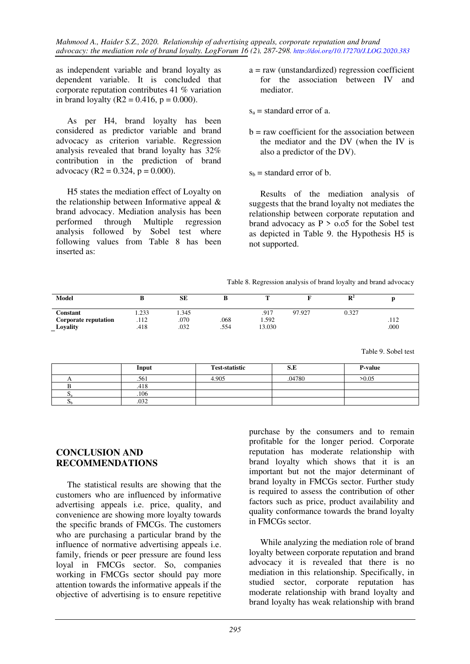*Mahmood A., Haider S.Z., 2020. Relationship of advertising appeals, corporate reputation and brand advocacy: the mediation role of brand loyalty. LogForum 16 (2), 287-298. http://doi.org/10.17270/J.LOG.2020.383* 

as independent variable and brand loyalty as dependent variable. It is concluded that corporate reputation contributes 41 % variation in brand loyalty (R2 = 0.416,  $p = 0.000$ ).

As per H4, brand loyalty has been considered as predictor variable and brand advocacy as criterion variable. Regression analysis revealed that brand loyalty has 32% contribution in the prediction of brand advocacy (R2 = 0.324,  $p = 0.000$ ).

H5 states the mediation effect of Loyalty on the relationship between Informative appeal & brand advocacy. Mediation analysis has been performed through Multiple regression analysis followed by Sobel test where following values from Table 8 has been inserted as:

- $a = raw$  (unstandardized) regression coefficient for the association between IV and mediator.
- $s_a$  = standard error of a.
- $b = raw coefficient for the association between$ the mediator and the DV (when the IV is also a predictor of the DV).
- $s<sub>b</sub>$  = standard error of b.

Results of the mediation analysis of suggests that the brand loyalty not mediates the relationship between corporate reputation and brand advocacy as  $P > 0.05$  for the Sobel test as depicted in Table 9. the Hypothesis H5 is not supported.

Table 8. Regression analysis of brand loyalty and brand advocacy

| Model                       |       | <b>SE</b> |      | -      |        | $\mathbb{R}^2$ |      |
|-----------------------------|-------|-----------|------|--------|--------|----------------|------|
| Constant                    | 1.233 | 1.345     |      | .917   | 97.927 | 0.327          |      |
| <b>Corporate reputation</b> | .112  | .070      | .068 | 1.592  |        |                | .112 |
| Lovality                    | .418  | .032      | .554 | 13.030 |        |                | .000 |

Table 9. Sobel test

|          | Input | <b>Test-statistic</b> | S.E    | P-value |
|----------|-------|-----------------------|--------|---------|
|          | .561  | 4.905                 | .04780 | >0.05   |
|          | 418   |                       |        |         |
| <b>D</b> | .106  |                       |        |         |
| ъЪ       | .032  |                       |        |         |

### **CONCLUSION AND RECOMMENDATIONS**

The statistical results are showing that the customers who are influenced by informative advertising appeals i.e. price, quality, and convenience are showing more loyalty towards the specific brands of FMCGs. The customers who are purchasing a particular brand by the influence of normative advertising appeals i.e. family, friends or peer pressure are found less loyal in FMCGs sector. So, companies working in FMCGs sector should pay more attention towards the informative appeals if the objective of advertising is to ensure repetitive

purchase by the consumers and to remain profitable for the longer period. Corporate reputation has moderate relationship with brand loyalty which shows that it is an important but not the major determinant of brand loyalty in FMCGs sector. Further study is required to assess the contribution of other factors such as price, product availability and quality conformance towards the brand loyalty in FMCGs sector.

While analyzing the mediation role of brand loyalty between corporate reputation and brand advocacy it is revealed that there is no mediation in this relationship. Specifically, in studied sector, corporate reputation has moderate relationship with brand loyalty and brand loyalty has weak relationship with brand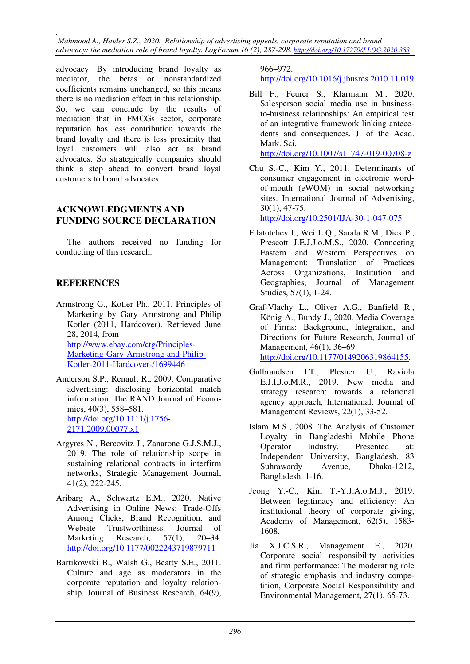*, Mahmood A., Haider S.Z., 2020. Relationship of advertising appeals, corporate reputation and brand advocacy: the mediation role of brand loyalty. LogForum 16 (2), 287-298. http://doi.org/10.17270/J.LOG.2020.383* 

advocacy. By introducing brand loyalty as mediator, the betas or nonstandardized coefficients remains unchanged, so this means there is no mediation effect in this relationship. So, we can conclude by the results of mediation that in FMCGs sector, corporate reputation has less contribution towards the brand loyalty and there is less proximity that loyal customers will also act as brand advocates. So strategically companies should think a step ahead to convert brand loyal customers to brand advocates.

### **ACKNOWLEDGMENTS AND FUNDING SOURCE DECLARATION**

The authors received no funding for conducting of this research.

## **REFERENCES**

- Armstrong G., Kotler Ph., 2011. Principles of Marketing by Gary Armstrong and Philip Kotler (2011, Hardcover). Retrieved June 28, 2014, from http://www.ebay.com/ctg/Principles-Marketing-Gary-Armstrong-and-Philip-Kotler-2011-Hardcover-/1699446
- Anderson S.P., Renault R., 2009. Comparative advertising: disclosing horizontal match information. The RAND Journal of Economics, 40(3), 558–581. http://doi.org/10.1111/j.1756- 2171.2009.00077.x1
- Argyres N., Bercovitz J., Zanarone G.J.S.M.J., 2019. The role of relationship scope in sustaining relational contracts in interfirm networks, Strategic Management Journal, 41(2), 222-245.
- Aribarg A., Schwartz E.M., 2020. Native Advertising in Online News: Trade-Offs Among Clicks, Brand Recognition, and<br>Website Trustworthiness. Journal of Website Trustworthiness. Journal of Marketing Research, 57(1), 20–34. http://doi.org/10.1177/0022243719879711
- Bartikowski B., Walsh G., Beatty S.E., 2011. Culture and age as moderators in the corporate reputation and loyalty relationship. Journal of Business Research, 64(9),

966–972.

http://doi.org/10.1016/j.jbusres.2010.11.019

- Bill F., Feurer S., Klarmann M., 2020. Salesperson social media use in businessto-business relationships: An empirical test of an integrative framework linking antecedents and consequences. J. of the Acad. Mark. Sci. http://doi.org/10.1007/s11747-019-00708-z
- Chu S.-C., Kim Y., 2011. Determinants of consumer engagement in electronic wordof-mouth (eWOM) in social networking sites. International Journal of Advertising, 30(1), 47-75. http://doi.org/10.2501/IJA-30-1-047-075
- Filatotchev I., Wei L.Q., Sarala R.M., Dick P., Prescott J.E.J.J.o.M.S., 2020. Connecting Eastern and Western Perspectives on Management: Translation of Practices Across Organizations, Institution and Geographies, Journal of Management Studies, 57(1), 1-24.
- Graf-Vlachy L., Oliver A.G., Banfield R., König A., Bundy J., 2020. Media Coverage of Firms: Background, Integration, and Directions for Future Research, Journal of Management, 46(1), 36–69. http://doi.org/10.1177/0149206319864155.
- Gulbrandsen I.T., Plesner U., Raviola E.J.I.J.o.M.R., 2019. New media and strategy research: towards a relational agency approach, International, Journal of Management Reviews, 22(1), 33-52.
- Islam M.S., 2008. The Analysis of Customer Loyalty in Bangladeshi Mobile Phone Operator Industry. Presented at: Independent University, Bangladesh. 83 Suhrawardy Avenue, Dhaka-1212, Bangladesh, 1-16.
- Jeong Y.-C., Kim T.-Y.J.A.o.M.J., 2019. Between legitimacy and efficiency: An institutional theory of corporate giving, Academy of Management, 62(5), 1583- 1608.
- Jia X.J.C.S.R., Management E., 2020. Corporate social responsibility activities and firm performance: The moderating role of strategic emphasis and industry competition, Corporate Social Responsibility and Environmental Management, 27(1), 65-73.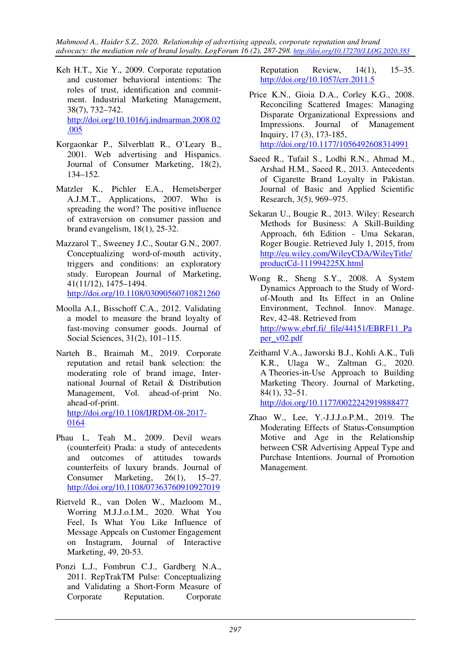*Mahmood A., Haider S.Z., 2020. Relationship of advertising appeals, corporate reputation and brand advocacy: the mediation role of brand loyalty. LogForum 16 (2), 287-298. http://doi.org/10.17270/J.LOG.2020.383* 

- Keh H.T., Xie Y., 2009. Corporate reputation and customer behavioral intentions: The roles of trust, identification and commitment. Industrial Marketing Management, 38(7), 732–742. http://doi.org/10.1016/j.indmarman.2008.02 .005
- Korgaonkar P., Silverblatt R., O'Leary B., 2001. Web advertising and Hispanics. Journal of Consumer Marketing, 18(2), 134–152.
- Matzler K., Pichler E.A., Hemetsberger A.J.M.T., Applications, 2007. Who is spreading the word? The positive influence of extraversion on consumer passion and brand evangelism, 18(1), 25-32.
- Mazzarol T., Sweeney J.C., Soutar G.N., 2007. Conceptualizing word‐of‐mouth activity, triggers and conditions: an exploratory study. European Journal of Marketing, 41(11/12), 1475–1494. http://doi.org/10.1108/03090560710821260
- Moolla A.I., Bisschoff C.A., 2012. Validating a model to measure the brand loyalty of fast-moving consumer goods. Journal of Social Sciences, 31(2), 101–115.
- Narteh B., Braimah M., 2019. Corporate reputation and retail bank selection: the moderating role of brand image, International Journal of Retail & Distribution Management, Vol. ahead-of-print No. ahead-of-print. http://doi.org/10.1108/IJRDM-08-2017- 0164
- Phau I., Teah M., 2009. Devil wears (counterfeit) Prada: a study of antecedents and outcomes of attitudes towards counterfeits of luxury brands. Journal of Consumer Marketing, 26(1), 15–27. http://doi.org/10.1108/07363760910927019
- Rietveld R., van Dolen W., Mazloom M., Worring M.J.J.o.I.M., 2020. What You Feel, Is What You Like Influence of Message Appeals on Customer Engagement on Instagram, Journal of Interactive Marketing, 49, 20-53.
- Ponzi L.J., Fombrun C.J., Gardberg N.A., 2011. RepTrakTM Pulse: Conceptualizing and Validating a Short-Form Measure of Corporate Reputation. Corporate

Reputation Review, 14(1), 15–35. http://doi.org/10.1057/crr.2011.5

- Price K.N., Gioia D.A., Corley K.G., 2008. Reconciling Scattered Images: Managing Disparate Organizational Expressions and Impressions. Journal of Management Inquiry, 17 (3), 173-185, http://doi.org/10.1177/1056492608314991
- Saeed R., Tufail S., Lodhi R.N., Ahmad M., Arshad H.M., Saeed R., 2013. Antecedents of Cigarette Brand Loyalty in Pakistan. Journal of Basic and Applied Scientific Research, 3(5), 969–975.
- Sekaran U., Bougie R., 2013. Wiley: Research Methods for Business: A Skill-Building Approach, 6th Edition - Uma Sekaran, Roger Bougie. Retrieved July 1, 2015, from http://eu.wiley.com/WileyCDA/WileyTitle/ productCd-111994225X.html
- Wong R., Sheng S.Y., 2008. A System Dynamics Approach to the Study of Wordof-Mouth and Its Effect in an Online Environment, Technol. Innov. Manage. Rev, 42-48. Retrieved from http://www.ebrf.fi/\_file/44151/EBRF11\_Pa per\_v02.pdf
- Zeithaml V.A., Jaworski B.J., Kohli A.K., Tuli K.R., Ulaga W., Zaltman G., 2020. A Theories-in-Use Approach to Building Marketing Theory. Journal of Marketing, 84(1), 32–51. http://doi.org/10.1177/0022242919888477
- Zhao W., Lee, Y.-J.J.J.o.P.M., 2019. The Moderating Effects of Status-Consumption Motive and Age in the Relationship between CSR Advertising Appeal Type and Purchase Intentions. Journal of Promotion Management.